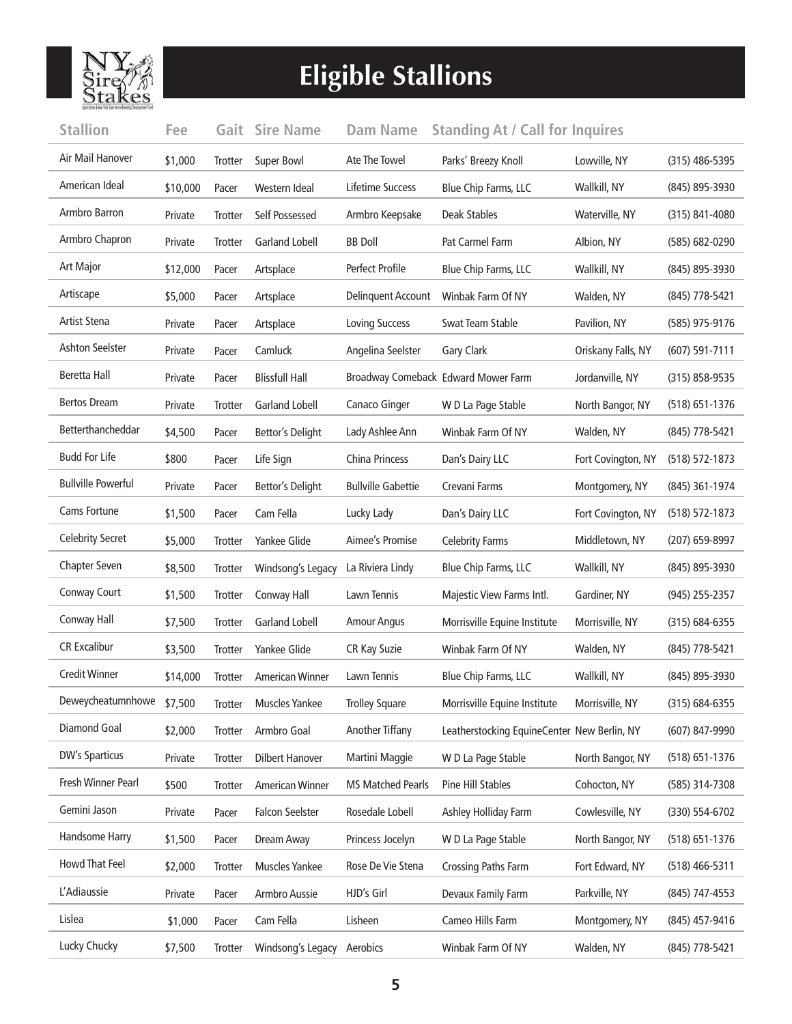

## **Eligible Stallions**

| <b>Stallion</b>           | Fee      | Gait           | <b>Sire Name</b>        | <b>Dam Name</b>           | <b>Standing At / Call for Inquires</b>      |                    |                    |
|---------------------------|----------|----------------|-------------------------|---------------------------|---------------------------------------------|--------------------|--------------------|
| Air Mail Hanover          | \$1,000  | <b>Trotter</b> | Super Bowl              | Ate The Towel             | Parks' Breezy Knoll                         | Lowville, NY       | $(315)$ 486-5395   |
| American Ideal            | \$10,000 | Pacer          | Western Ideal           | Lifetime Success          | Blue Chip Farms, LLC                        | Wallkill, NY       | (845) 895-3930     |
| Armbro Barron             | Private  | <b>Trotter</b> | Self Possessed          | Armbro Keepsake           | Deak Stables                                | Waterville, NY     | $(315) 841 - 4080$ |
| Armbro Chapron            | Private  | Trotter        | <b>Garland Lobell</b>   | <b>BB</b> Doll            | Pat Carmel Farm                             | Albion, NY         | (585) 682-0290     |
| <b>Art Major</b>          | \$12,000 | Pacer          | Artsplace               | <b>Perfect Profile</b>    | Blue Chip Farms, LLC                        | Wallkill, NY       | (845) 895-3930     |
| Artiscape                 | \$5,000  | Pacer          | Artsplace               | Delinquent Account        | Winbak Farm Of NY                           | Walden, NY         | (845) 778-5421     |
| Artist Stena              | Private  | Pacer          | Artsplace               | <b>Loving Success</b>     | Swat Team Stable                            | Pavilion, NY       | (585) 975-9176     |
| <b>Ashton Seelster</b>    | Private  | Pacer          | Camluck                 | Angelina Seelster         | Gary Clark                                  | Oriskany Falls, NY | $(607)$ 591-7111   |
| <b>Beretta Hall</b>       | Private  | Pacer          | <b>Blissfull Hall</b>   |                           | Broadway Comeback Edward Mower Farm         | Jordanville, NY    | $(315) 858 - 9535$ |
| <b>Bertos Dream</b>       | Private  | Trotter        | <b>Garland Lobell</b>   | Canaco Ginger             | W D La Page Stable                          | North Bangor, NY   | (518) 651-1376     |
| Betterthancheddar         | \$4,500  | Pacer          | Bettor's Delight        | Lady Ashlee Ann           | Winbak Farm Of NY                           | Walden, NY         | (845) 778-5421     |
| <b>Budd For Life</b>      | \$800    | Pacer          | Life Sign               | China Princess            | Dan's Dairy LLC                             | Fort Covington, NY | (518) 572-1873     |
| <b>Bullville Powerful</b> | Private  | Pacer          | <b>Bettor's Delight</b> | <b>Bullville Gabettie</b> | Crevani Farms                               | Montgomery, NY     | (845) 361-1974     |
| Cams Fortune              | \$1,500  | Pacer          | Cam Fella               | Lucky Lady                | Dan's Dairy LLC                             | Fort Covington, NY | $(518) 572 - 1873$ |
| Celebrity Secret          | \$5,000  | Trotter        | Yankee Glide            | Aimee's Promise           | <b>Celebrity Farms</b>                      | Middletown, NY     | (207) 659-8997     |
| Chapter Seven             | \$8,500  | Trotter        | Windsong's Legacy       | La Riviera Lindy          | Blue Chip Farms, LLC                        | Wallkill, NY       | (845) 895-3930     |
| Conway Court              | \$1,500  | Trotter        | Conway Hall             | Lawn Tennis               | Majestic View Farms Intl.                   | Gardiner, NY       | (945) 255-2357     |
| Conway Hall               | \$7,500  | Trotter        | <b>Garland Lobell</b>   | <b>Amour Angus</b>        | Morrisville Equine Institute                | Morrisville, NY    | (315) 684-6355     |
| <b>CR Excalibur</b>       | \$3,500  | Trotter        | Yankee Glide            | CR Kay Suzie              | Winbak Farm Of NY                           | Walden, NY         | (845) 778-5421     |
| <b>Credit Winner</b>      | \$14,000 | <b>Trotter</b> | <b>American Winner</b>  | Lawn Tennis               | Blue Chip Farms, LLC                        | Wallkill, NY       | (845) 895-3930     |
| Deweycheatumnhowe \$7,500 |          | Trotter        | <b>Muscles Yankee</b>   | <b>Trolley Square</b>     | Morrisville Equine Institute                | Morrisville, NY    | (315) 684-6355     |
| Diamond Goal              | \$2,000  | Trotter        | Armbro Goal             | Another Tiffany           | Leatherstocking EquineCenter New Berlin, NY |                    | (607) 847-9990     |
| <b>DW's Sparticus</b>     | Private  | Trotter        | <b>Dilbert Hanover</b>  | Martini Maggie            | W D La Page Stable                          | North Bangor, NY   | (518) 651-1376     |
| Fresh Winner Pearl        | \$500    | Trotter        | <b>American Winner</b>  | <b>MS Matched Pearls</b>  | Pine Hill Stables                           | Cohocton, NY       | (585) 314-7308     |
| Gemini Jason              | Private  | Pacer          | <b>Falcon Seelster</b>  | Rosedale Lobell           | Ashley Holliday Farm                        | Cowlesville, NY    | (330) 554-6702     |
| Handsome Harry            | \$1,500  | Pacer          | Dream Away              | Princess Jocelyn          | W D La Page Stable                          | North Bangor, NY   | (518) 651-1376     |
| Howd That Feel            | \$2,000  | <b>Trotter</b> | Muscles Yankee          | Rose De Vie Stena         | Crossing Paths Farm                         | Fort Edward, NY    | (518) 466-5311     |
| L'Adiaussie               | Private  | Pacer          | Armbro Aussie           | HJD's Girl                | Devaux Family Farm                          | Parkville, NY      | (845) 747-4553     |
| Lislea                    | \$1,000  | Pacer          | Cam Fella               | Lisheen                   | Cameo Hills Farm                            | Montgomery, NY     | (845) 457-9416     |
| Lucky Chucky              | \$7,500  | Trotter        | Windsong's Legacy       | Aerobics                  | Winbak Farm Of NY                           | Walden, NY         | (845) 778-5421     |